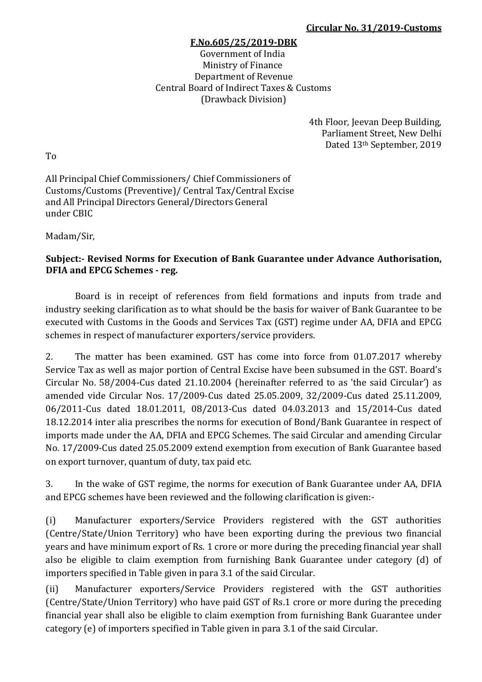## **F.No.605/25/2019-DBK**

Government of India Ministry of Finance Department of Revenue Central Board of Indirect Taxes & Customs (Drawback Division)

> 4th Floor, Jeevan Deep Building, Parliament Street, New Delhi Dated 13th September, 2019

To

All Principal Chief Commissioners/ Chief Commissioners of Customs/Customs (Preventive)/ Central Tax/Central Excise and All Principal Directors General/Directors General under CBIC

Madam/Sir,

## **Subject:- Revised Norms for Execution of Bank Guarantee under Advance Authorisation, DFIA and EPCG Schemes - reg.**

Board is in receipt of references from field formations and inputs from trade and industry seeking clarification as to what should be the basis for waiver of Bank Guarantee to be executed with Customs in the Goods and Services Tax (GST) regime under AA, DFIA and EPCG schemes in respect of manufacturer exporters/service providers.

2. The matter has been examined. GST has come into force from 01.07.2017 whereby Service Tax as well as major portion of Central Excise have been subsumed in the GST. Board's Circular No. 58/2004-Cus dated 21.10.2004 (hereinafter referred to as 'the said Circular') as amended vide Circular Nos. 17/2009-Cus dated 25.05.2009, 32/2009-Cus dated 25.11.2009, 06/2011-Cus dated 18.01.2011, 08/2013-Cus dated 04.03.2013 and 15/2014-Cus dated 18.12.2014 inter alia prescribes the norms for execution of Bond/Bank Guarantee in respect of imports made under the AA, DFIA and EPCG Schemes. The said Circular and amending Circular No. 17/2009-Cus dated 25.05.2009 extend exemption from execution of Bank Guarantee based on export turnover, quantum of duty, tax paid etc.

3. In the wake of GST regime, the norms for execution of Bank Guarantee under AA, DFIA and EPCG schemes have been reviewed and the following clarification is given:-

(i) Manufacturer exporters/Service Providers registered with the GST authorities (Centre/State/Union Territory) who have been exporting during the previous two financial years and have minimum export of Rs. 1 crore or more during the preceding financial year shall also be eligible to claim exemption from furnishing Bank Guarantee under category (d) of importers specified in Table given in para 3.1 of the said Circular.

(ii) Manufacturer exporters/Service Providers registered with the GST authorities (Centre/State/Union Territory) who have paid GST of Rs.1 crore or more during the preceding financial year shall also be eligible to claim exemption from furnishing Bank Guarantee under category (e) of importers specified in Table given in para 3.1 of the said Circular.